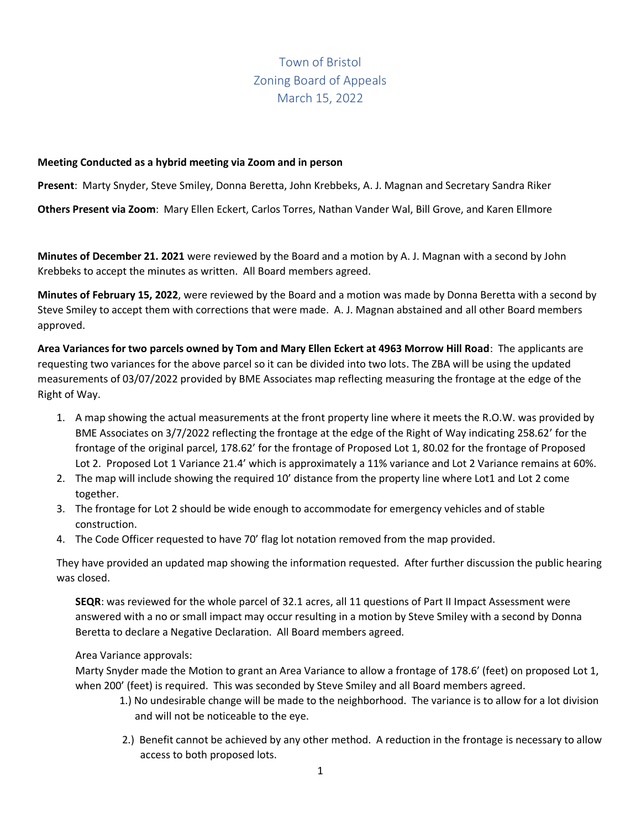## Town of Bristol Zoning Board of Appeals March 15, 2022

## **Meeting Conducted as a hybrid meeting via Zoom and in person**

**Present**: Marty Snyder, Steve Smiley, Donna Beretta, John Krebbeks, A. J. Magnan and Secretary Sandra Riker

**Others Present via Zoom**: Mary Ellen Eckert, Carlos Torres, Nathan Vander Wal, Bill Grove, and Karen Ellmore

**Minutes of December 21. 2021** were reviewed by the Board and a motion by A. J. Magnan with a second by John Krebbeks to accept the minutes as written. All Board members agreed.

**Minutes of February 15, 2022**, were reviewed by the Board and a motion was made by Donna Beretta with a second by Steve Smiley to accept them with corrections that were made. A. J. Magnan abstained and all other Board members approved.

**Area Variances for two parcels owned by Tom and Mary Ellen Eckert at 4963 Morrow Hill Road**: The applicants are requesting two variances for the above parcel so it can be divided into two lots. The ZBA will be using the updated measurements of 03/07/2022 provided by BME Associates map reflecting measuring the frontage at the edge of the Right of Way.

- 1. A map showing the actual measurements at the front property line where it meets the R.O.W. was provided by BME Associates on 3/7/2022 reflecting the frontage at the edge of the Right of Way indicating 258.62' for the frontage of the original parcel, 178.62' for the frontage of Proposed Lot 1, 80.02 for the frontage of Proposed Lot 2. Proposed Lot 1 Variance 21.4' which is approximately a 11% variance and Lot 2 Variance remains at 60%.
- 2. The map will include showing the required 10' distance from the property line where Lot1 and Lot 2 come together.
- 3. The frontage for Lot 2 should be wide enough to accommodate for emergency vehicles and of stable construction.
- 4. The Code Officer requested to have 70' flag lot notation removed from the map provided.

They have provided an updated map showing the information requested. After further discussion the public hearing was closed.

**SEQR**: was reviewed for the whole parcel of 32.1 acres, all 11 questions of Part II Impact Assessment were answered with a no or small impact may occur resulting in a motion by Steve Smiley with a second by Donna Beretta to declare a Negative Declaration. All Board members agreed.

## Area Variance approvals:

Marty Snyder made the Motion to grant an Area Variance to allow a frontage of 178.6' (feet) on proposed Lot 1, when 200' (feet) is required. This was seconded by Steve Smiley and all Board members agreed.

- 1.) No undesirable change will be made to the neighborhood. The variance is to allow for a lot division and will not be noticeable to the eye.
- 2.) Benefit cannot be achieved by any other method. A reduction in the frontage is necessary to allow access to both proposed lots.